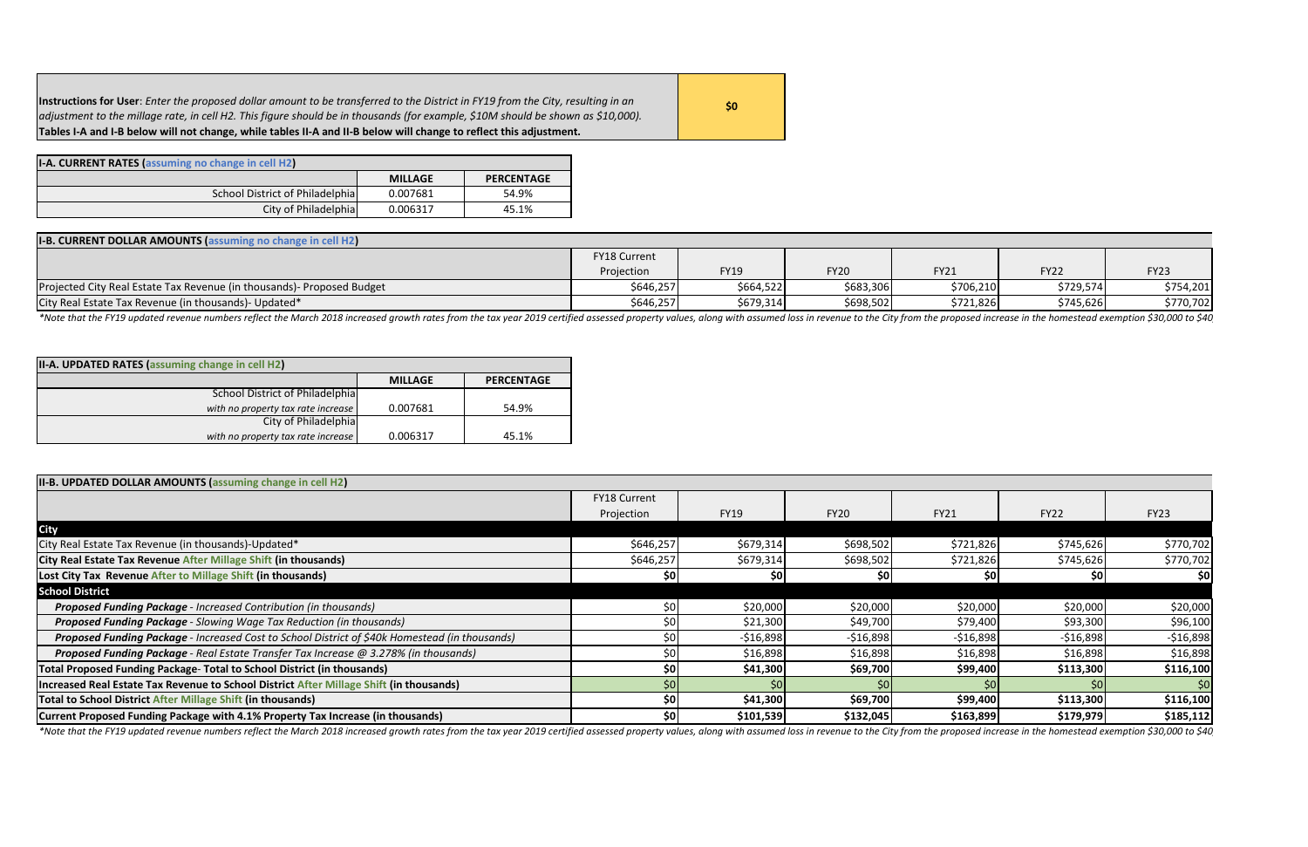| Instructions for User: Enter the proposed dollar amount to be transferred to the District in FY19 from the City, resulting in an | 50/ |
|----------------------------------------------------------------------------------------------------------------------------------|-----|
| adjustment to the millage rate, in cell H2. This figure should be in thousands (for example, \$10M should be shown as \$10,000). |     |
| Tables I-A and I-B below will not change, while tables II-A and II-B below will change to reflect this adjustment.               |     |

| <b>I-A. CURRENT RATES (assuming no change in cell H2)</b> |                |                   |
|-----------------------------------------------------------|----------------|-------------------|
|                                                           | <b>MILLAGE</b> | <b>PERCENTAGE</b> |
| School District of Philadelphia                           | 0.007681       | 54.9%             |
| City of Philadelphia                                      | 0.006317       | 45.1%             |

| <b>I-B. CURRENT DOLLAR AMOUNTS (assuming no change in cell H2)</b>     |              |             |             |             |             |             |
|------------------------------------------------------------------------|--------------|-------------|-------------|-------------|-------------|-------------|
|                                                                        | FY18 Current |             |             |             |             |             |
|                                                                        | Projection   | <b>FY19</b> | <b>FY20</b> | <b>FY21</b> | <b>FY22</b> | <b>FY23</b> |
| Projected City Real Estate Tax Revenue (in thousands)- Proposed Budget | \$646,257    | \$664,522   | \$683,306   | \$706,210   | \$729,574   | \$754,201   |
| City Real Estate Tax Revenue (in thousands) - Updated*                 | \$646,257    | \$679,314   | \$698,502   | \$721,826   | \$745,626   | \$770,702   |

\*Note that the FY19 updated revenue numbers reflect the March 2018 increased growth rates from the tax year 2019 certified assessed property values, along with assumed loss in revenue to the City from the proposed increase

| II-A. UPDATED RATES (assuming change in cell H2) |                |                   |
|--------------------------------------------------|----------------|-------------------|
|                                                  | <b>MILLAGE</b> | <b>PERCENTAGE</b> |
| <b>School District of Philadelphia</b>           |                |                   |
| with no property tax rate increase               | 0.007681       | 54.9%             |
| City of Philadelphia                             |                |                   |
| with no property tax rate increase               | 0.006317       | 45.1%             |

| II-B. UPDATED DOLLAR AMOUNTS (assuming change in cell H2)                                      |              |             |             |             |             |             |
|------------------------------------------------------------------------------------------------|--------------|-------------|-------------|-------------|-------------|-------------|
|                                                                                                | FY18 Current |             |             |             |             |             |
|                                                                                                | Projection   | <b>FY19</b> | <b>FY20</b> | <b>FY21</b> | <b>FY22</b> | <b>FY23</b> |
| <b>City</b>                                                                                    |              |             |             |             |             |             |
| City Real Estate Tax Revenue (in thousands)-Updated*                                           | \$646,257    | \$679,314   | \$698,502   | \$721,826   | \$745,626   | \$770,702   |
| City Real Estate Tax Revenue After Millage Shift (in thousands)                                | \$646,257    | \$679,314   | \$698,502   | \$721,826   | \$745,626   | \$770,702   |
| Lost City Tax Revenue After to Millage Shift (in thousands)                                    | -SOI         |             | <b>SOI</b>  | Ş0          | SOI         | <b>\$0</b>  |
| <b>School District</b>                                                                         |              |             |             |             |             |             |
| Proposed Funding Package - Increased Contribution (in thousands)                               | S0           | \$20,000    | \$20,000    | \$20,000    | \$20,000    | \$20,000    |
| Proposed Funding Package - Slowing Wage Tax Reduction (in thousands)                           |              | \$21,300    | \$49,700    | \$79,400    | \$93,300    | \$96,100    |
| Proposed Funding Package - Increased Cost to School District of \$40k Homestead (in thousands) |              | $-$16,898$  | $-516,898$  | $-516,898$  | $-$16,898$  | $-516,898$  |
| Proposed Funding Package - Real Estate Transfer Tax Increase @ 3.278% (in thousands)           |              | \$16,898    | \$16,898    | \$16,898    | \$16,898    | \$16,898    |
| <b>Total Proposed Funding Package- Total to School District (in thousands)</b>                 | \$0          | \$41,300    | \$69,700    | \$99,400    | \$113,300   | \$116,100   |
| Increased Real Estate Tax Revenue to School District After Millage Shift (in thousands)        |              |             |             |             |             | 50          |
| Total to School District After Millage Shift (in thousands)                                    | \$0          | \$41,300    | \$69,700    | \$99,400    | \$113,300   | \$116,100   |
| Current Proposed Funding Package with 4.1% Property Tax Increase (in thousands)                | \$0          | \$101,539   | \$132,045   | \$163,899   | \$179,979   | \$185,112   |

\*Note that the FY19 updated revenue numbers reflect the March 2018 increased growth rates from the tax year 2019 certified assessed property values, along with assumed loss in revenue to the City from the proposed increase